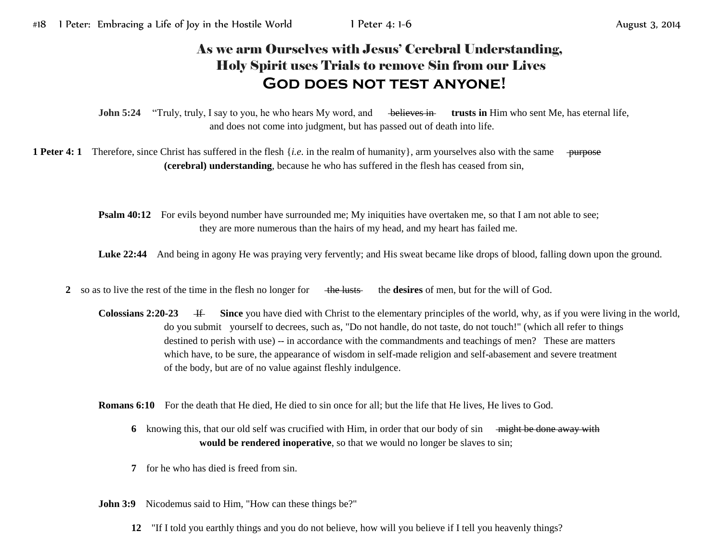## As we arm Ourselves with Jesus' Cerebral Understanding, Holy Spirit uses Trials to remove Sin from our Lives **God does not test anyone!**

**John 5:24** "Truly, truly, I say to you, he who hears My word, and believes in trusts in Him who sent Me, has eternal life, and does not come into judgment, but has passed out of death into life.

**1 Peter 4: 1** Therefore, since Christ has suffered in the flesh  $\{i.e.$  in the realm of humanity}, arm yourselves also with the same purpose **(cerebral) understanding**, because he who has suffered in the flesh has ceased from sin,

> **Psalm 40:12** For evils beyond number have surrounded me; My iniquities have overtaken me, so that I am not able to see; they are more numerous than the hairs of my head, and my heart has failed me.

Luke 22:44 And being in agony He was praying very fervently; and His sweat became like drops of blood, falling down upon the ground.

**2** so as to live the rest of the time in the flesh no longer for the lusts the **desires** of men, but for the will of God.

**Colossians 2:20-23** If Since you have died with Christ to the elementary principles of the world, why, as if you were living in the world, do you submit yourself to decrees, such as, "Do not handle, do not taste, do not touch!" (which all refer to things destined to perish with use) -- in accordance with the commandments and teachings of men? These are matters which have, to be sure, the appearance of wisdom in self-made religion and self-abasement and severe treatment of the body, but are of no value against fleshly indulgence.

**Romans 6:10** For the death that He died, He died to sin once for all; but the life that He lives, He lives to God.

- **6** knowing this, that our old self was crucified with Him, in order that our body of sin <del>might be done away with</del> **would be rendered inoperative**, so that we would no longer be slaves to sin;
- **7** for he who has died is freed from sin.
- **John 3:9** Nicodemus said to Him, "How can these things be?"
	- **12** "If I told you earthly things and you do not believe, how will you believe if I tell you heavenly things?